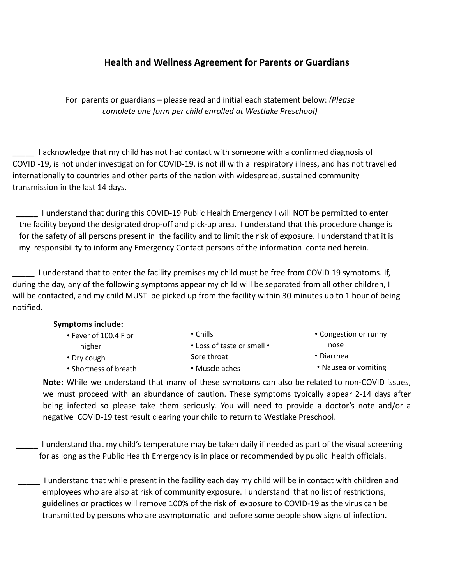## **Health and Wellness Agreement for Parents or Guardians**

For parents or guardians – please read and initial each statement below: *(Please complete one form per child enrolled at Westlake Preschool)*

**\_\_\_\_\_** I acknowledge that my child has not had contact with someone with a confirmed diagnosis of COVID -19, is not under investigation for COVID-19, is not ill with a respiratory illness, and has not travelled internationally to countries and other parts of the nation with widespread, sustained community transmission in the last 14 days.

**\_\_\_\_\_** I understand that during this COVID-19 Public Health Emergency I will NOT be permitted to enter the facility beyond the designated drop-off and pick-up area. I understand that this procedure change is for the safety of all persons present in the facility and to limit the risk of exposure. I understand that it is my responsibility to inform any Emergency Contact persons of the information contained herein.

**\_\_\_\_\_** I understand that to enter the facility premises my child must be free from COVID 19 symptoms. If, during the day, any of the following symptoms appear my child will be separated from all other children, I will be contacted, and my child MUST be picked up from the facility within 30 minutes up to 1 hour of being notified.

## **Symptoms include:**

| $\cdot$ Fever of 100.4 F or | $\cdot$ Chills             | • Congestion or runny |
|-----------------------------|----------------------------|-----------------------|
| higher                      | • Loss of taste or smell • | nose                  |
| • Dry cough                 | Sore throat                | • Diarrhea            |
| • Shortness of breath       | • Muscle aches             | • Nausea or vomiting  |
|                             |                            |                       |

**Note:** While we understand that many of these symptoms can also be related to non-COVID issues, we must proceed with an abundance of caution. These symptoms typically appear 2-14 days after being infected so please take them seriously. You will need to provide a doctor's note and/or a negative COVID-19 test result clearing your child to return to Westlake Preschool.

**\_\_\_\_\_** I understand that my child's temperature may be taken daily if needed as part of the visual screening for as long as the Public Health Emergency is in place or recommended by public health officials.

**\_\_\_\_\_** I understand that while present in the facility each day my child will be in contact with children and employees who are also at risk of community exposure. I understand that no list of restrictions, guidelines or practices will remove 100% of the risk of exposure to COVID-19 as the virus can be transmitted by persons who are asymptomatic and before some people show signs of infection.